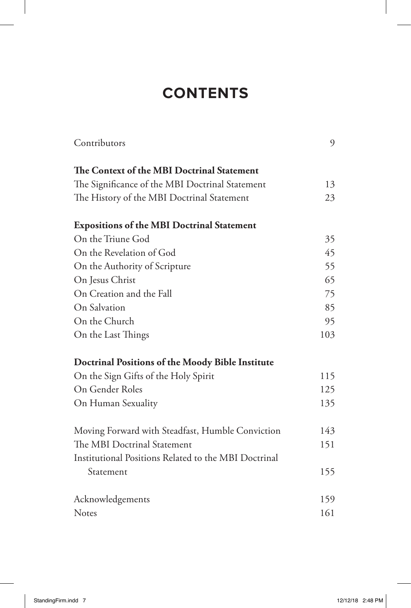# **CONTENTS**

| Contributors                                         | 9   |
|------------------------------------------------------|-----|
| The Context of the MBI Doctrinal Statement           |     |
| The Significance of the MBI Doctrinal Statement      | 13  |
| The History of the MBI Doctrinal Statement           | 23  |
| <b>Expositions of the MBI Doctrinal Statement</b>    |     |
| On the Triune God                                    | 35  |
| On the Revelation of God                             | 45  |
| On the Authority of Scripture                        | 55  |
| On Jesus Christ                                      | 65  |
| On Creation and the Fall                             | 75  |
| On Salvation                                         | 85  |
| On the Church                                        | 95  |
| On the Last Things                                   | 103 |
| Doctrinal Positions of the Moody Bible Institute     |     |
| On the Sign Gifts of the Holy Spirit                 | 115 |
| On Gender Roles                                      | 125 |
| On Human Sexuality                                   | 135 |
| Moving Forward with Steadfast, Humble Conviction     | 143 |
| The MBI Doctrinal Statement                          | 151 |
| Institutional Positions Related to the MBI Doctrinal |     |
| Statement                                            | 155 |
| Acknowledgements                                     | 159 |
| Notes                                                | 161 |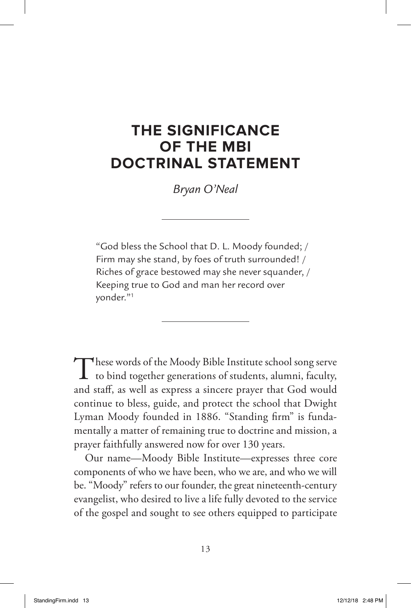## **THE SIGNIFICANCE OF THE MBI DOCTRINAL STATEMENT**

*Bryan O'Neal*

"God bless the School that D. L. Moody founded; / Firm may she stand, by foes of truth surrounded! / Riches of grace bestowed may she never squander, / Keeping true to God and man her record over yonder."1

These words of the Moody Bible Institute school song serve<br>to bind together generations of students, alumni, faculty, and staff, as well as express a sincere prayer that God would continue to bless, guide, and protect the school that Dwight Lyman Moody founded in 1886. "Standing firm" is fundamentally a matter of remaining true to doctrine and mission, a prayer faithfully answered now for over 130 years.

Our name—Moody Bible Institute—expresses three core components of who we have been, who we are, and who we will be. "Moody" refers to our founder, the great nineteenth-century evangelist, who desired to live a life fully devoted to the service of the gospel and sought to see others equipped to participate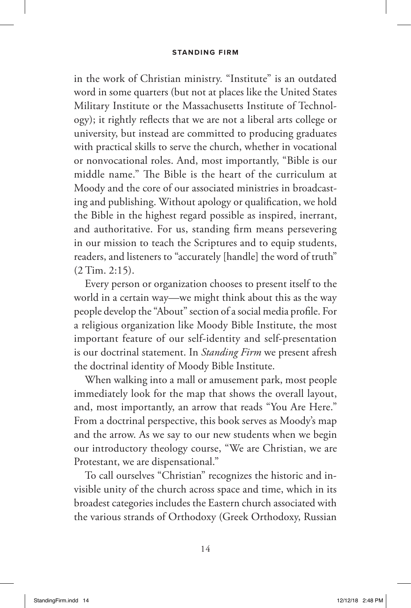in the work of Christian ministry. "Institute" is an outdated word in some quarters (but not at places like the United States Military Institute or the Massachusetts Institute of Technology); it rightly reflects that we are not a liberal arts college or university, but instead are committed to producing graduates with practical skills to serve the church, whether in vocational or nonvocational roles. And, most importantly, "Bible is our middle name." The Bible is the heart of the curriculum at Moody and the core of our associated ministries in broadcasting and publishing. Without apology or qualification, we hold the Bible in the highest regard possible as inspired, inerrant, and authoritative. For us, standing firm means persevering in our mission to teach the Scriptures and to equip students, readers, and listeners to "accurately [handle] the word of truth" (2 Tim. 2:15).

Every person or organization chooses to present itself to the world in a certain way—we might think about this as the way people develop the "About" section of a social media profile. For a religious organization like Moody Bible Institute, the most important feature of our self-identity and self-presentation is our doctrinal statement. In *Standing Firm* we present afresh the doctrinal identity of Moody Bible Institute.

When walking into a mall or amusement park, most people immediately look for the map that shows the overall layout, and, most importantly, an arrow that reads "You Are Here." From a doctrinal perspective, this book serves as Moody's map and the arrow. As we say to our new students when we begin our introductory theology course, "We are Christian, we are Protestant, we are dispensational."

To call ourselves "Christian" recognizes the historic and invisible unity of the church across space and time, which in its broadest categories includes the Eastern church associated with the various strands of Orthodoxy (Greek Orthodoxy, Russian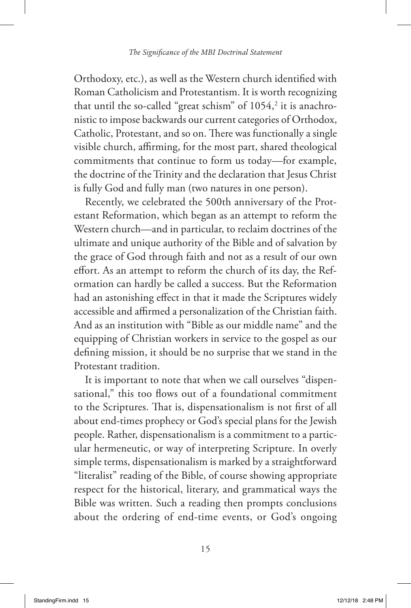Orthodoxy, etc.), as well as the Western church identified with Roman Catholicism and Protestantism. It is worth recognizing that until the so-called "great schism" of  $1054$ ,<sup>2</sup> it is anachronistic to impose backwards our current categories of Orthodox, Catholic, Protestant, and so on. There was functionally a single visible church, affirming, for the most part, shared theological commitments that continue to form us today—for example, the doctrine of the Trinity and the declaration that Jesus Christ is fully God and fully man (two natures in one person).

Recently, we celebrated the 500th anniversary of the Protestant Reformation, which began as an attempt to reform the Western church—and in particular, to reclaim doctrines of the ultimate and unique authority of the Bible and of salvation by the grace of God through faith and not as a result of our own effort. As an attempt to reform the church of its day, the Reformation can hardly be called a success. But the Reformation had an astonishing effect in that it made the Scriptures widely accessible and affirmed a personalization of the Christian faith. And as an institution with "Bible as our middle name" and the equipping of Christian workers in service to the gospel as our defining mission, it should be no surprise that we stand in the Protestant tradition.

It is important to note that when we call ourselves "dispensational," this too flows out of a foundational commitment to the Scriptures. That is, dispensationalism is not first of all about end-times prophecy or God's special plans for the Jewish people. Rather, dispensationalism is a commitment to a particular hermeneutic, or way of interpreting Scripture. In overly simple terms, dispensationalism is marked by a straightforward "literalist" reading of the Bible, of course showing appropriate respect for the historical, literary, and grammatical ways the Bible was written. Such a reading then prompts conclusions about the ordering of end-time events, or God's ongoing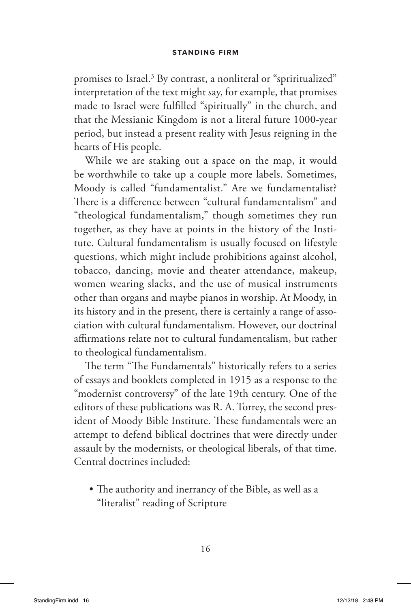promises to Israel.3 By contrast, a nonliteral or "spriritualized" interpretation of the text might say, for example, that promises made to Israel were fulfilled "spiritually" in the church, and that the Messianic Kingdom is not a literal future 1000-year period, but instead a present reality with Jesus reigning in the hearts of His people.

While we are staking out a space on the map, it would be worthwhile to take up a couple more labels. Sometimes, Moody is called "fundamentalist." Are we fundamentalist? There is a difference between "cultural fundamentalism" and "theological fundamentalism," though sometimes they run together, as they have at points in the history of the Institute. Cultural fundamentalism is usually focused on lifestyle questions, which might include prohibitions against alcohol, tobacco, dancing, movie and theater attendance, makeup, women wearing slacks, and the use of musical instruments other than organs and maybe pianos in worship. At Moody, in its history and in the present, there is certainly a range of association with cultural fundamentalism. However, our doctrinal affirmations relate not to cultural fundamentalism, but rather to theological fundamentalism.

The term "The Fundamentals" historically refers to a series of essays and booklets completed in 1915 as a response to the "modernist controversy" of the late 19th century. One of the editors of these publications was R. A. Torrey, the second president of Moody Bible Institute. These fundamentals were an attempt to defend biblical doctrines that were directly under assault by the modernists, or theological liberals, of that time. Central doctrines included:

• The authority and inerrancy of the Bible, as well as a "literalist" reading of Scripture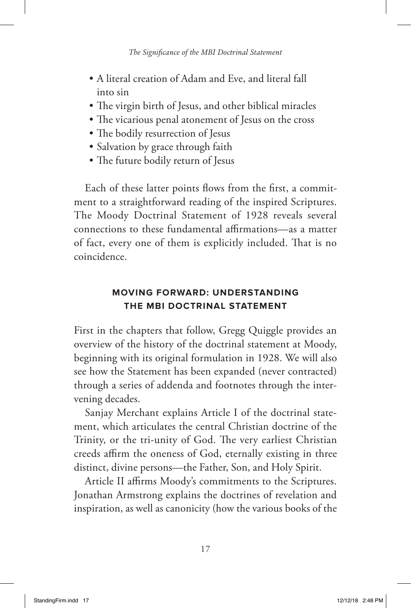- A literal creation of Adam and Eve, and literal fall into sin
- The virgin birth of Jesus, and other biblical miracles
- The vicarious penal atonement of Jesus on the cross
- The bodily resurrection of Jesus
- Salvation by grace through faith
- The future bodily return of Jesus

Each of these latter points flows from the first, a commitment to a straightforward reading of the inspired Scriptures. The Moody Doctrinal Statement of 1928 reveals several connections to these fundamental affirmations—as a matter of fact, every one of them is explicitly included. That is no coincidence.

## **MOVING FORWARD: UNDERSTANDING THE MBI DOCTRINAL STATEMENT**

First in the chapters that follow, Gregg Quiggle provides an overview of the history of the doctrinal statement at Moody, beginning with its original formulation in 1928. We will also see how the Statement has been expanded (never contracted) through a series of addenda and footnotes through the intervening decades.

Sanjay Merchant explains Article I of the doctrinal statement, which articulates the central Christian doctrine of the Trinity, or the tri-unity of God. The very earliest Christian creeds affirm the oneness of God, eternally existing in three distinct, divine persons—the Father, Son, and Holy Spirit.

Article II affirms Moody's commitments to the Scriptures. Jonathan Armstrong explains the doctrines of revelation and inspiration, as well as canonicity (how the various books of the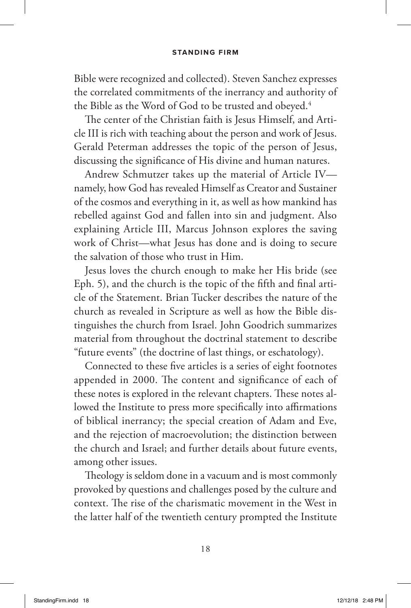Bible were recognized and collected). Steven Sanchez expresses the correlated commitments of the inerrancy and authority of the Bible as the Word of God to be trusted and obeyed.<sup>4</sup>

The center of the Christian faith is Jesus Himself, and Article III is rich with teaching about the person and work of Jesus. Gerald Peterman addresses the topic of the person of Jesus, discussing the significance of His divine and human natures.

Andrew Schmutzer takes up the material of Article IV namely, how God has revealed Himself as Creator and Sustainer of the cosmos and everything in it, as well as how mankind has rebelled against God and fallen into sin and judgment. Also explaining Article III, Marcus Johnson explores the saving work of Christ—what Jesus has done and is doing to secure the salvation of those who trust in Him.

Jesus loves the church enough to make her His bride (see Eph. 5), and the church is the topic of the fifth and final article of the Statement. Brian Tucker describes the nature of the church as revealed in Scripture as well as how the Bible distinguishes the church from Israel. John Goodrich summarizes material from throughout the doctrinal statement to describe "future events" (the doctrine of last things, or eschatology).

Connected to these five articles is a series of eight footnotes appended in 2000. The content and significance of each of these notes is explored in the relevant chapters. These notes allowed the Institute to press more specifically into affirmations of biblical inerrancy; the special creation of Adam and Eve, and the rejection of macroevolution; the distinction between the church and Israel; and further details about future events, among other issues.

Theology is seldom done in a vacuum and is most commonly provoked by questions and challenges posed by the culture and context. The rise of the charismatic movement in the West in the latter half of the twentieth century prompted the Institute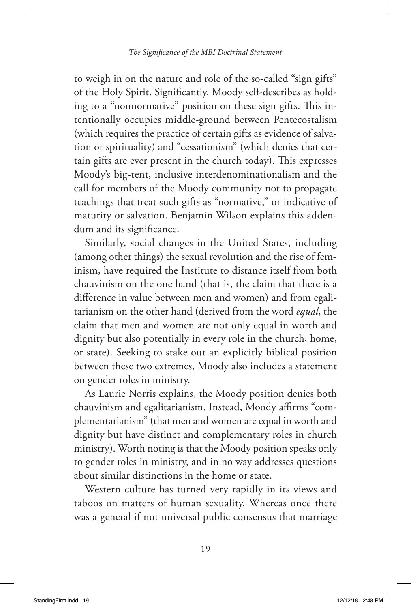to weigh in on the nature and role of the so-called "sign gifts" of the Holy Spirit. Significantly, Moody self-describes as holding to a "nonnormative" position on these sign gifts. This intentionally occupies middle-ground between Pentecostalism (which requires the practice of certain gifts as evidence of salvation or spirituality) and "cessationism" (which denies that certain gifts are ever present in the church today). This expresses Moody's big-tent, inclusive interdenominationalism and the call for members of the Moody community not to propagate teachings that treat such gifts as "normative," or indicative of maturity or salvation. Benjamin Wilson explains this addendum and its significance.

Similarly, social changes in the United States, including (among other things) the sexual revolution and the rise of feminism, have required the Institute to distance itself from both chauvinism on the one hand (that is, the claim that there is a difference in value between men and women) and from egalitarianism on the other hand (derived from the word *equal*, the claim that men and women are not only equal in worth and dignity but also potentially in every role in the church, home, or state). Seeking to stake out an explicitly biblical position between these two extremes, Moody also includes a statement on gender roles in ministry.

As Laurie Norris explains, the Moody position denies both chauvinism and egalitarianism. Instead, Moody affirms "complementarianism" (that men and women are equal in worth and dignity but have distinct and complementary roles in church ministry). Worth noting is that the Moody position speaks only to gender roles in ministry, and in no way addresses questions about similar distinctions in the home or state.

Western culture has turned very rapidly in its views and taboos on matters of human sexuality. Whereas once there was a general if not universal public consensus that marriage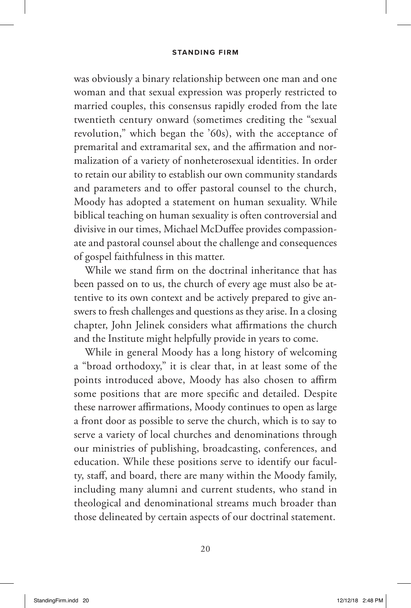was obviously a binary relationship between one man and one woman and that sexual expression was properly restricted to married couples, this consensus rapidly eroded from the late twentieth century onward (sometimes crediting the "sexual revolution," which began the '60s), with the acceptance of premarital and extramarital sex, and the affirmation and normalization of a variety of nonheterosexual identities. In order to retain our ability to establish our own community standards and parameters and to offer pastoral counsel to the church, Moody has adopted a statement on human sexuality. While biblical teaching on human sexuality is often controversial and divisive in our times, Michael McDuffee provides compassionate and pastoral counsel about the challenge and consequences of gospel faithfulness in this matter.

While we stand firm on the doctrinal inheritance that has been passed on to us, the church of every age must also be attentive to its own context and be actively prepared to give answers to fresh challenges and questions as they arise. In a closing chapter, John Jelinek considers what affirmations the church and the Institute might helpfully provide in years to come.

While in general Moody has a long history of welcoming a "broad orthodoxy," it is clear that, in at least some of the points introduced above, Moody has also chosen to affirm some positions that are more specific and detailed. Despite these narrower affirmations, Moody continues to open as large a front door as possible to serve the church, which is to say to serve a variety of local churches and denominations through our ministries of publishing, broadcasting, conferences, and education. While these positions serve to identify our faculty, staff, and board, there are many within the Moody family, including many alumni and current students, who stand in theological and denominational streams much broader than those delineated by certain aspects of our doctrinal statement.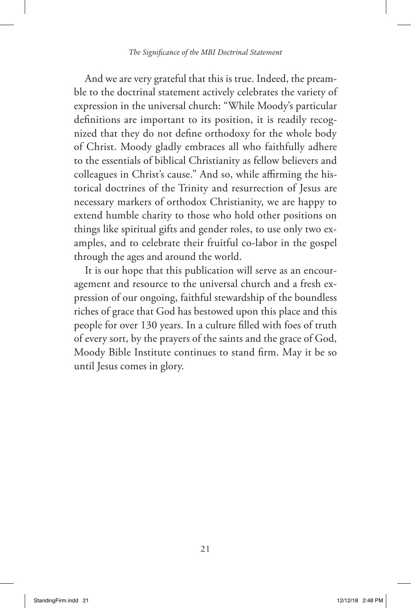And we are very grateful that this is true. Indeed, the preamble to the doctrinal statement actively celebrates the variety of expression in the universal church: "While Moody's particular definitions are important to its position, it is readily recognized that they do not define orthodoxy for the whole body of Christ. Moody gladly embraces all who faithfully adhere to the essentials of biblical Christianity as fellow believers and colleagues in Christ's cause." And so, while affirming the historical doctrines of the Trinity and resurrection of Jesus are necessary markers of orthodox Christianity, we are happy to extend humble charity to those who hold other positions on things like spiritual gifts and gender roles, to use only two examples, and to celebrate their fruitful co-labor in the gospel through the ages and around the world.

It is our hope that this publication will serve as an encouragement and resource to the universal church and a fresh expression of our ongoing, faithful stewardship of the boundless riches of grace that God has bestowed upon this place and this people for over 130 years. In a culture filled with foes of truth of every sort, by the prayers of the saints and the grace of God, Moody Bible Institute continues to stand firm. May it be so until Jesus comes in glory.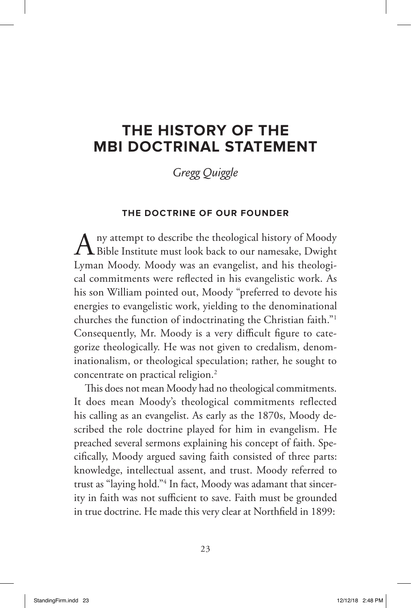## **THE HISTORY OF THE MBI DOCTRINAL STATEMENT**

*Gregg Quiggle*

#### **THE DOCTRINE OF OUR FOUNDER**

 $\bigwedge$  ny attempt to describe the theological history of Moody<br>Bible Institute must look back to our namesake, Dwight Lyman Moody. Moody was an evangelist, and his theological commitments were reflected in his evangelistic work. As his son William pointed out, Moody "preferred to devote his energies to evangelistic work, yielding to the denominational churches the function of indoctrinating the Christian faith."1 Consequently, Mr. Moody is a very difficult figure to categorize theologically. He was not given to credalism, denominationalism, or theological speculation; rather, he sought to concentrate on practical religion.<sup>2</sup>

This does not mean Moody had no theological commitments. It does mean Moody's theological commitments reflected his calling as an evangelist. As early as the 1870s, Moody described the role doctrine played for him in evangelism. He preached several sermons explaining his concept of faith. Specifically, Moody argued saving faith consisted of three parts: knowledge, intellectual assent, and trust. Moody referred to trust as "laying hold."4 In fact, Moody was adamant that sincerity in faith was not sufficient to save. Faith must be grounded in true doctrine. He made this very clear at Northfield in 1899: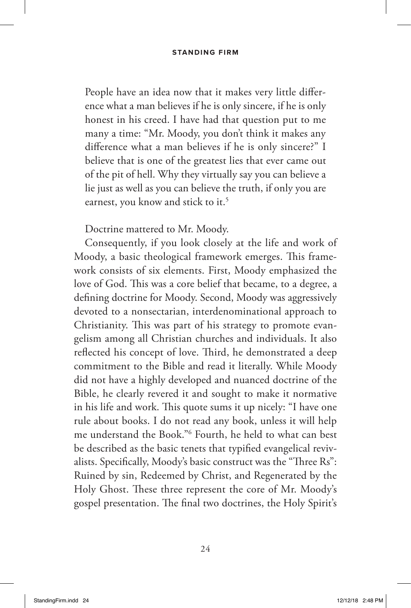People have an idea now that it makes very little difference what a man believes if he is only sincere, if he is only honest in his creed. I have had that question put to me many a time: "Mr. Moody, you don't think it makes any difference what a man believes if he is only sincere?" I believe that is one of the greatest lies that ever came out of the pit of hell. Why they virtually say you can believe a lie just as well as you can believe the truth, if only you are earnest, you know and stick to it.<sup>5</sup>

Doctrine mattered to Mr. Moody.

Consequently, if you look closely at the life and work of Moody, a basic theological framework emerges. This framework consists of six elements. First, Moody emphasized the love of God. This was a core belief that became, to a degree, a defining doctrine for Moody. Second, Moody was aggressively devoted to a nonsectarian, interdenominational approach to Christianity. This was part of his strategy to promote evangelism among all Christian churches and individuals. It also reflected his concept of love. Third, he demonstrated a deep commitment to the Bible and read it literally. While Moody did not have a highly developed and nuanced doctrine of the Bible, he clearly revered it and sought to make it normative in his life and work. This quote sums it up nicely: "I have one rule about books. I do not read any book, unless it will help me understand the Book."6 Fourth, he held to what can best be described as the basic tenets that typified evangelical revivalists. Specifically, Moody's basic construct was the "Three Rs": Ruined by sin, Redeemed by Christ, and Regenerated by the Holy Ghost. These three represent the core of Mr. Moody's gospel presentation. The final two doctrines, the Holy Spirit's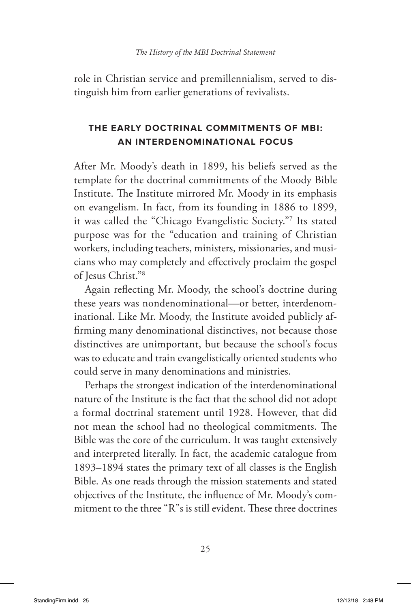role in Christian service and premillennialism, served to distinguish him from earlier generations of revivalists.

### **THE EARLY DOCTRINAL COMMITMENTS OF MBI: AN INTERDENOMINATIONAL FOCUS**

After Mr. Moody's death in 1899, his beliefs served as the template for the doctrinal commitments of the Moody Bible Institute. The Institute mirrored Mr. Moody in its emphasis on evangelism. In fact, from its founding in 1886 to 1899, it was called the "Chicago Evangelistic Society."7 Its stated purpose was for the "education and training of Christian workers, including teachers, ministers, missionaries, and musicians who may completely and effectively proclaim the gospel of Jesus Christ."8

Again reflecting Mr. Moody, the school's doctrine during these years was nondenominational—or better, interdenominational. Like Mr. Moody, the Institute avoided publicly affirming many denominational distinctives, not because those distinctives are unimportant, but because the school's focus was to educate and train evangelistically oriented students who could serve in many denominations and ministries.

Perhaps the strongest indication of the interdenominational nature of the Institute is the fact that the school did not adopt a formal doctrinal statement until 1928. However, that did not mean the school had no theological commitments. The Bible was the core of the curriculum. It was taught extensively and interpreted literally. In fact, the academic catalogue from 1893–1894 states the primary text of all classes is the English Bible. As one reads through the mission statements and stated objectives of the Institute, the influence of Mr. Moody's commitment to the three "R"s is still evident. These three doctrines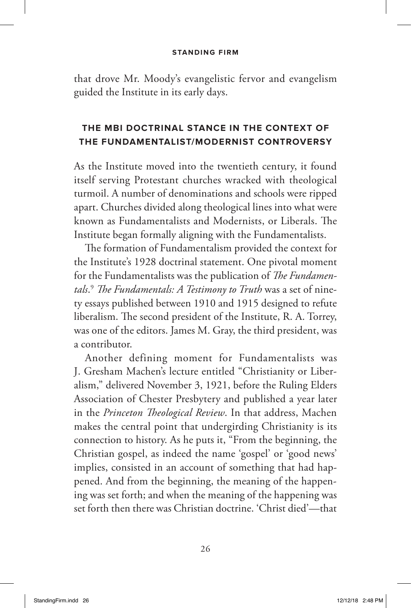that drove Mr. Moody's evangelistic fervor and evangelism guided the Institute in its early days.

## **THE MBI DOCTRINAL STANCE IN THE CONTEXT OF THE FUNDAMENTALIST/MODERNIST CONTROVERSY**

As the Institute moved into the twentieth century, it found itself serving Protestant churches wracked with theological turmoil. A number of denominations and schools were ripped apart. Churches divided along theological lines into what were known as Fundamentalists and Modernists, or Liberals. The Institute began formally aligning with the Fundamentalists.

The formation of Fundamentalism provided the context for the Institute's 1928 doctrinal statement. One pivotal moment for the Fundamentalists was the publication of *The Fundamentals*. <sup>9</sup> *The Fundamentals: A Testimony to Truth* was a set of ninety essays published between 1910 and 1915 designed to refute liberalism. The second president of the Institute, R. A. Torrey, was one of the editors. James M. Gray, the third president, was a contributor.

Another defining moment for Fundamentalists was J. Gresham Machen's lecture entitled "Christianity or Liberalism," delivered November 3, 1921, before the Ruling Elders Association of Chester Presbytery and published a year later in the *Princeton Theological Review*. In that address, Machen makes the central point that undergirding Christianity is its connection to history. As he puts it, "From the beginning, the Christian gospel, as indeed the name 'gospel' or 'good news' implies, consisted in an account of something that had happened. And from the beginning, the meaning of the happening was set forth; and when the meaning of the happening was set forth then there was Christian doctrine. 'Christ died'—that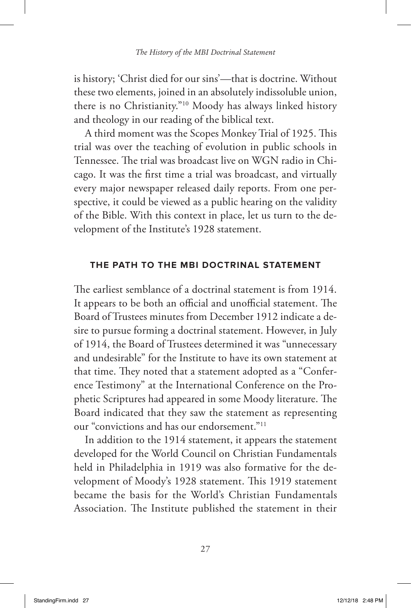is history; 'Christ died for our sins'—that is doctrine. Without these two elements, joined in an absolutely indissoluble union, there is no Christianity."10 Moody has always linked history and theology in our reading of the biblical text.

A third moment was the Scopes Monkey Trial of 1925. This trial was over the teaching of evolution in public schools in Tennessee. The trial was broadcast live on WGN radio in Chicago. It was the first time a trial was broadcast, and virtually every major newspaper released daily reports. From one perspective, it could be viewed as a public hearing on the validity of the Bible. With this context in place, let us turn to the development of the Institute's 1928 statement.

### **THE PATH TO THE MBI DOCTRINAL STATEMENT**

The earliest semblance of a doctrinal statement is from 1914. It appears to be both an official and unofficial statement. The Board of Trustees minutes from December 1912 indicate a desire to pursue forming a doctrinal statement. However, in July of 1914, the Board of Trustees determined it was "unnecessary and undesirable" for the Institute to have its own statement at that time. They noted that a statement adopted as a "Conference Testimony" at the International Conference on the Prophetic Scriptures had appeared in some Moody literature. The Board indicated that they saw the statement as representing our "convictions and has our endorsement."11

In addition to the 1914 statement, it appears the statement developed for the World Council on Christian Fundamentals held in Philadelphia in 1919 was also formative for the development of Moody's 1928 statement. This 1919 statement became the basis for the World's Christian Fundamentals Association. The Institute published the statement in their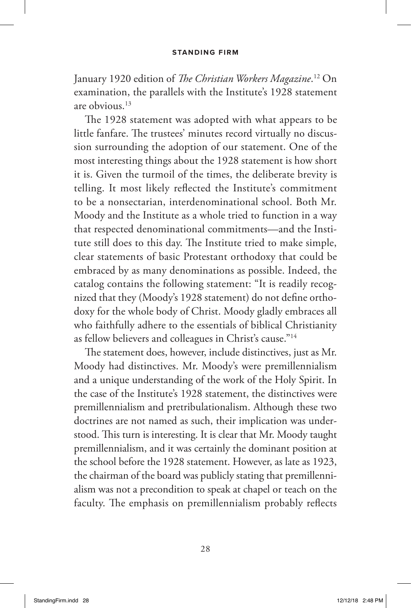January 1920 edition of *The Christian Workers Magazine*. 12 On examination, the parallels with the Institute's 1928 statement are obvious.13

The 1928 statement was adopted with what appears to be little fanfare. The trustees' minutes record virtually no discussion surrounding the adoption of our statement. One of the most interesting things about the 1928 statement is how short it is. Given the turmoil of the times, the deliberate brevity is telling. It most likely reflected the Institute's commitment to be a nonsectarian, interdenominational school. Both Mr. Moody and the Institute as a whole tried to function in a way that respected denominational commitments—and the Institute still does to this day. The Institute tried to make simple, clear statements of basic Protestant orthodoxy that could be embraced by as many denominations as possible. Indeed, the catalog contains the following statement: "It is readily recognized that they (Moody's 1928 statement) do not define orthodoxy for the whole body of Christ. Moody gladly embraces all who faithfully adhere to the essentials of biblical Christianity as fellow believers and colleagues in Christ's cause."14

The statement does, however, include distinctives, just as Mr. Moody had distinctives. Mr. Moody's were premillennialism and a unique understanding of the work of the Holy Spirit. In the case of the Institute's 1928 statement, the distinctives were premillennialism and pretribulationalism. Although these two doctrines are not named as such, their implication was understood. This turn is interesting. It is clear that Mr. Moody taught premillennialism, and it was certainly the dominant position at the school before the 1928 statement. However, as late as 1923, the chairman of the board was publicly stating that premillennialism was not a precondition to speak at chapel or teach on the faculty. The emphasis on premillennialism probably reflects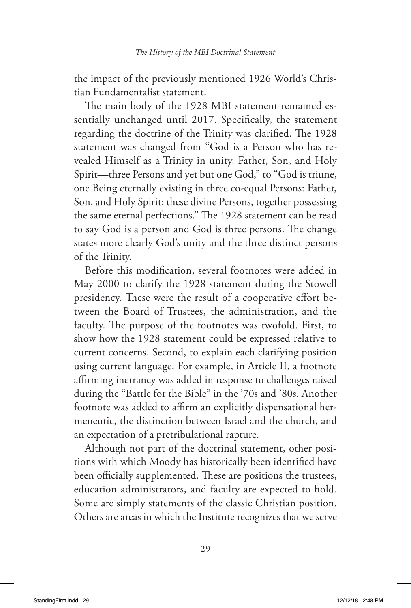the impact of the previously mentioned 1926 World's Christian Fundamentalist statement.

The main body of the 1928 MBI statement remained essentially unchanged until 2017. Specifically, the statement regarding the doctrine of the Trinity was clarified. The 1928 statement was changed from "God is a Person who has revealed Himself as a Trinity in unity, Father, Son, and Holy Spirit—three Persons and yet but one God," to "God is triune, one Being eternally existing in three co-equal Persons: Father, Son, and Holy Spirit; these divine Persons, together possessing the same eternal perfections." The 1928 statement can be read to say God is a person and God is three persons. The change states more clearly God's unity and the three distinct persons of the Trinity.

Before this modification, several footnotes were added in May 2000 to clarify the 1928 statement during the Stowell presidency. These were the result of a cooperative effort between the Board of Trustees, the administration, and the faculty. The purpose of the footnotes was twofold. First, to show how the 1928 statement could be expressed relative to current concerns. Second, to explain each clarifying position using current language. For example, in Article II, a footnote affirming inerrancy was added in response to challenges raised during the "Battle for the Bible" in the '70s and '80s. Another footnote was added to affirm an explicitly dispensational hermeneutic, the distinction between Israel and the church, and an expectation of a pretribulational rapture.

Although not part of the doctrinal statement, other positions with which Moody has historically been identified have been officially supplemented. These are positions the trustees, education administrators, and faculty are expected to hold. Some are simply statements of the classic Christian position. Others are areas in which the Institute recognizes that we serve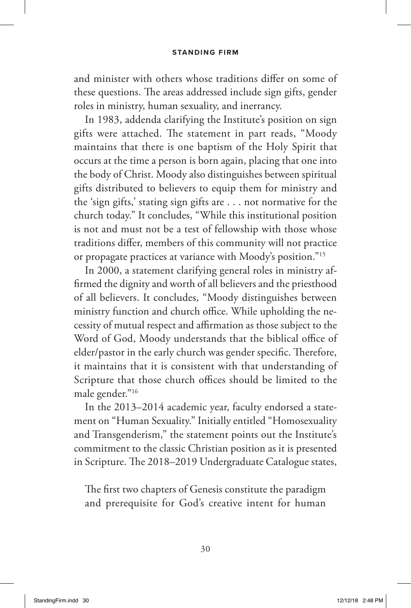and minister with others whose traditions differ on some of these questions. The areas addressed include sign gifts, gender roles in ministry, human sexuality, and inerrancy.

In 1983, addenda clarifying the Institute's position on sign gifts were attached. The statement in part reads, "Moody maintains that there is one baptism of the Holy Spirit that occurs at the time a person is born again, placing that one into the body of Christ. Moody also distinguishes between spiritual gifts distributed to believers to equip them for ministry and the 'sign gifts,' stating sign gifts are . . . not normative for the church today." It concludes, "While this institutional position is not and must not be a test of fellowship with those whose traditions differ, members of this community will not practice or propagate practices at variance with Moody's position."15

In 2000, a statement clarifying general roles in ministry affirmed the dignity and worth of all believers and the priesthood of all believers. It concludes, "Moody distinguishes between ministry function and church office. While upholding the necessity of mutual respect and affirmation as those subject to the Word of God, Moody understands that the biblical office of elder/pastor in the early church was gender specific. Therefore, it maintains that it is consistent with that understanding of Scripture that those church offices should be limited to the male gender."16

In the 2013–2014 academic year, faculty endorsed a statement on "Human Sexuality." Initially entitled "Homosexuality and Transgenderism," the statement points out the Institute's commitment to the classic Christian position as it is presented in Scripture. The 2018–2019 Undergraduate Catalogue states,

The first two chapters of Genesis constitute the paradigm and prerequisite for God's creative intent for human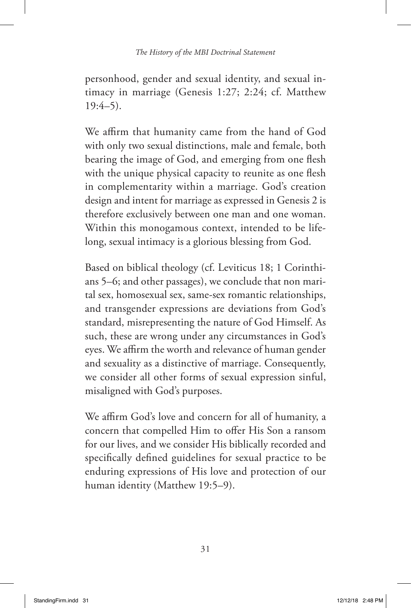personhood, gender and sexual identity, and sexual intimacy in marriage (Genesis 1:27; 2:24; cf. Matthew 19:4–5).

We affirm that humanity came from the hand of God with only two sexual distinctions, male and female, both bearing the image of God, and emerging from one flesh with the unique physical capacity to reunite as one flesh in complementarity within a marriage. God's creation design and intent for marriage as expressed in Genesis 2 is therefore exclusively between one man and one woman. Within this monogamous context, intended to be lifelong, sexual intimacy is a glorious blessing from God.

Based on biblical theology (cf. Leviticus 18; 1 Corinthians 5–6; and other passages), we conclude that non marital sex, homosexual sex, same-sex romantic relationships, and transgender expressions are deviations from God's standard, misrepresenting the nature of God Himself. As such, these are wrong under any circumstances in God's eyes. We affirm the worth and relevance of human gender and sexuality as a distinctive of marriage. Consequently, we consider all other forms of sexual expression sinful, misaligned with God's purposes.

We affirm God's love and concern for all of humanity, a concern that compelled Him to offer His Son a ransom for our lives, and we consider His biblically recorded and specifically defined guidelines for sexual practice to be enduring expressions of His love and protection of our human identity (Matthew 19:5–9).